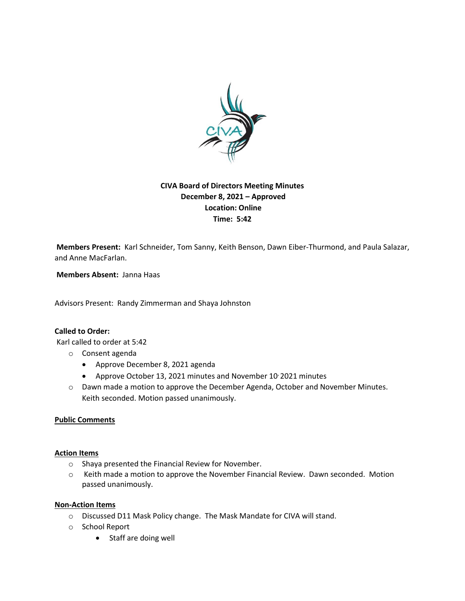

# **CIVA Board of Directors Meeting Minutes December 8, 2021 – Approved Location: Online Time: 5:42**

**Members Present:** Karl Schneider, Tom Sanny, Keith Benson, Dawn Eiber-Thurmond, and Paula Salazar, and Anne MacFarlan.

**Members Absent:** Janna Haas

Advisors Present: Randy Zimmerman and Shaya Johnston

## **Called to Order:**

Karl called to order at 5:42

- o Consent agenda
	- Approve December 8, 2021 agenda
	- Approve October 13, 2021 minutes and November 10, 2021 minutes
- o Dawn made a motion to approve the December Agenda, October and November Minutes. Keith seconded. Motion passed unanimously.

#### **Public Comments**

#### **Action Items**

- o Shaya presented the Financial Review for November.
- o Keith made a motion to approve the November Financial Review. Dawn seconded. Motion passed unanimously.

### **Non-Action Items**

- o Discussed D11 Mask Policy change. The Mask Mandate for CIVA will stand.
- o School Report
	- Staff are doing well